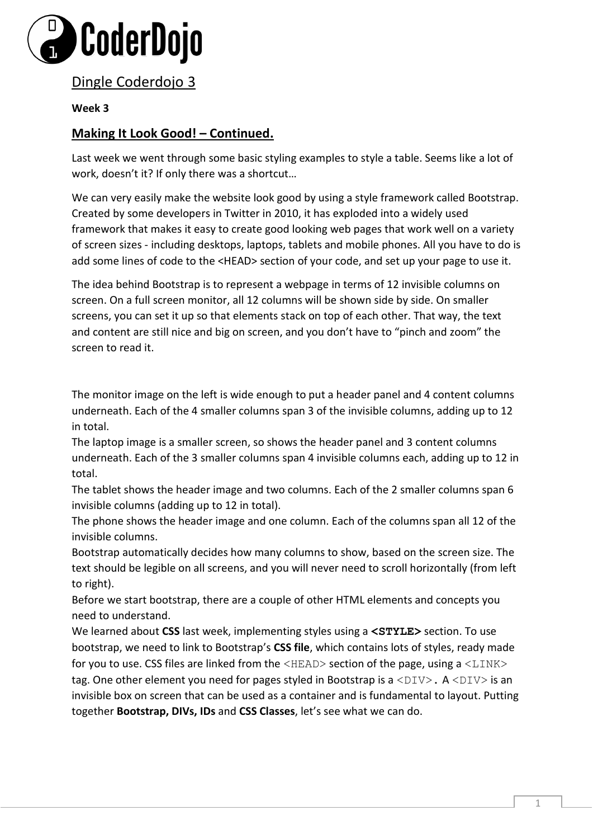

Dingle Coderdojo 3

## **Week 3**

## **Making It Look Good! – Continued.**

Last week we went through some basic styling examples to style a table. Seems like a lot of work, doesn't it? If only there was a shortcut…

We can very easily make the website look good by using a style framework called Bootstrap. Created by some developers in Twitter in 2010, it has exploded into a widely used framework that makes it easy to create good looking web pages that work well on a variety of screen sizes - including desktops, laptops, tablets and mobile phones. All you have to do is add some lines of code to the <HEAD> section of your code, and set up your page to use it.

The idea behind Bootstrap is to represent a webpage in terms of 12 invisible columns on screen. On a full screen monitor, all 12 columns will be shown side by side. On smaller screens, you can set it up so that elements stack on top of each other. That way, the text and content are still nice and big on screen, and you don't have to "pinch and zoom" the screen to read it.

The monitor image on the left is wide enough to put a header panel and 4 content columns underneath. Each of the 4 smaller columns span 3 of the invisible columns, adding up to 12 in total.

The laptop image is a smaller screen, so shows the header panel and 3 content columns underneath. Each of the 3 smaller columns span 4 invisible columns each, adding up to 12 in total.

The tablet shows the header image and two columns. Each of the 2 smaller columns span 6 invisible columns (adding up to 12 in total).

The phone shows the header image and one column. Each of the columns span all 12 of the invisible columns.

Bootstrap automatically decides how many columns to show, based on the screen size. The text should be legible on all screens, and you will never need to scroll horizontally (from left to right).

Before we start bootstrap, there are a couple of other HTML elements and concepts you need to understand.

We learned about **CSS** last week, implementing styles using a **<STYLE>** section. To use bootstrap, we need to link to Bootstrap's **CSS file**, which contains lots of styles, ready made for you to use. CSS files are linked from the  $\langle \text{HEAD} \rangle$  section of the page, using a  $\langle \text{LINK} \rangle$ tag. One other element you need for pages styled in Bootstrap is a  $\langle DIV \rangle$ . A  $\langle DIV \rangle$  is an invisible box on screen that can be used as a container and is fundamental to layout. Putting together **Bootstrap, DIVs, IDs** and **CSS Classes**, let's see what we can do.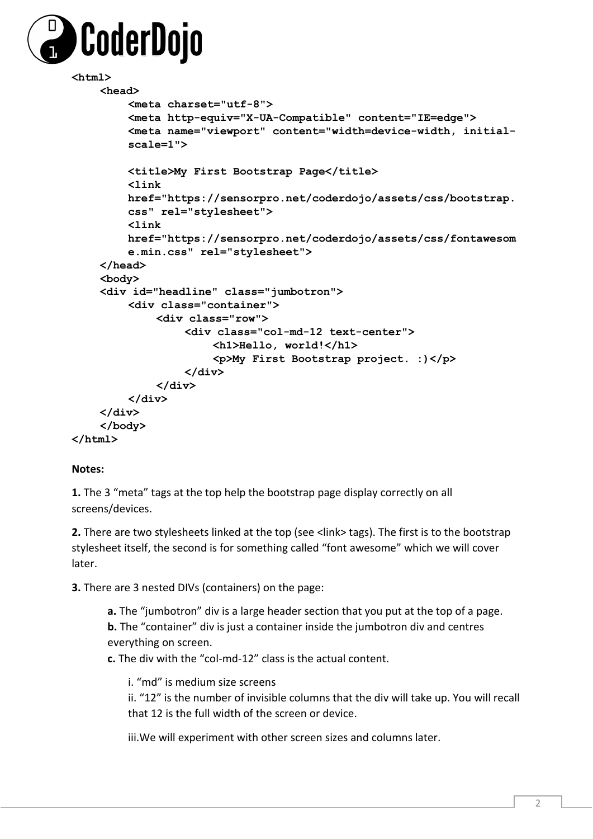

```
<html> 
    <head> 
         <meta charset="utf-8"> 
         <meta http-equiv="X-UA-Compatible" content="IE=edge"> 
         <meta name="viewport" content="width=device-width, initial-
         scale=1"> 
         <title>My First Bootstrap Page</title> 
         <link 
        href="https://sensorpro.net/coderdojo/assets/css/bootstrap.
         css" rel="stylesheet"> 
         <link 
        href="https://sensorpro.net/coderdojo/assets/css/fontawesom
         e.min.css" rel="stylesheet"> 
    </head> 
    <body> 
    <div id="headline" class="jumbotron"> 
         <div class="container"> 
             <div class="row"> 
                  <div class="col-md-12 text-center"> 
                      <h1>Hello, world!</h1> 
                      <p>My First Bootstrap project. :)</p>
                  </div> 
             </div> 
         </div> 
    </div> 
    </body> 
</html>
```
## **Notes:**

**1.** The 3 "meta" tags at the top help the bootstrap page display correctly on all screens/devices.

**2.** There are two stylesheets linked at the top (see <link> tags). The first is to the bootstrap stylesheet itself, the second is for something called "font awesome" which we will cover later.

**3.** There are 3 nested DIVs (containers) on the page:

**a.** The "jumbotron" div is a large header section that you put at the top of a page. **b.** The "container" div is just a container inside the jumbotron div and centres everything on screen.

**c.** The div with the "col-md-12" class is the actual content.

i. "md" is medium size screens

ii. "12" is the number of invisible columns that the div will take up. You will recall that 12 is the full width of the screen or device.

iii.We will experiment with other screen sizes and columns later.